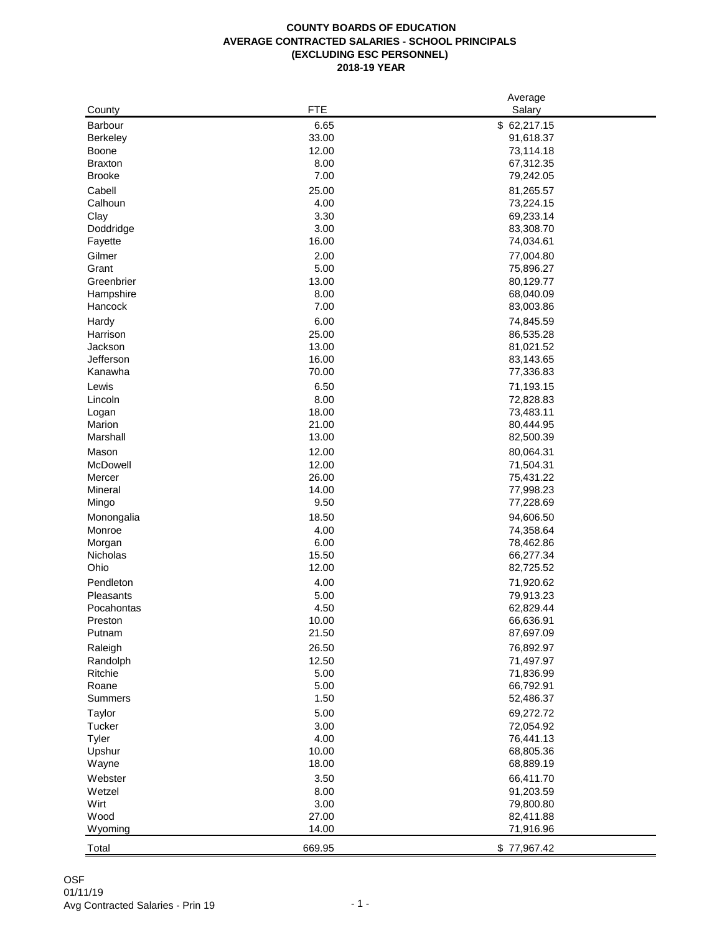## **COUNTY BOARDS OF EDUCATION AVERAGE CONTRACTED SALARIES - SCHOOL PRINCIPALS (EXCLUDING ESC PERSONNEL) 2018-19 YEAR**

|                      |            | Average     |
|----------------------|------------|-------------|
| County               | <b>FTE</b> | Salary      |
| <b>Barbour</b>       | 6.65       | \$62,217.15 |
| <b>Berkeley</b>      | 33.00      | 91,618.37   |
| <b>Boone</b>         | 12.00      | 73,114.18   |
| <b>Braxton</b>       | 8.00       | 67,312.35   |
| <b>Brooke</b>        | 7.00       | 79,242.05   |
| Cabell               | 25.00      | 81,265.57   |
| Calhoun              | 4.00       | 73,224.15   |
| Clay                 | 3.30       | 69,233.14   |
| Doddridge            | 3.00       | 83,308.70   |
| Fayette              | 16.00      | 74,034.61   |
| Gilmer               | 2.00       | 77,004.80   |
| Grant                | 5.00       | 75,896.27   |
| Greenbrier           | 13.00      | 80,129.77   |
|                      | 8.00       | 68,040.09   |
| Hampshire<br>Hancock | 7.00       | 83,003.86   |
|                      |            |             |
| Hardy                | 6.00       | 74,845.59   |
| Harrison             | 25.00      | 86,535.28   |
| Jackson              | 13.00      | 81,021.52   |
| Jefferson            | 16.00      | 83,143.65   |
| Kanawha              | 70.00      | 77,336.83   |
| Lewis                | 6.50       | 71,193.15   |
| Lincoln              | 8.00       | 72,828.83   |
| Logan                | 18.00      | 73,483.11   |
| Marion               | 21.00      | 80,444.95   |
| Marshall             | 13.00      | 82,500.39   |
| Mason                | 12.00      | 80,064.31   |
| McDowell             | 12.00      | 71,504.31   |
| Mercer               | 26.00      | 75,431.22   |
| Mineral              | 14.00      | 77,998.23   |
| Mingo                | 9.50       | 77,228.69   |
| Monongalia           | 18.50      | 94,606.50   |
| Monroe               | 4.00       | 74,358.64   |
| Morgan               | 6.00       | 78,462.86   |
| Nicholas             | 15.50      | 66,277.34   |
| Ohio                 | 12.00      | 82,725.52   |
| Pendleton            | 4.00       | 71,920.62   |
| Pleasants            | 5.00       | 79,913.23   |
| Pocahontas           | 4.50       | 62,829.44   |
| Preston              | 10.00      | 66,636.91   |
| Putnam               | 21.50      | 87,697.09   |
|                      |            |             |
| Raleigh              | 26.50      | 76,892.97   |
| Randolph             | 12.50      | 71,497.97   |
| Ritchie              | 5.00       | 71,836.99   |
| Roane                | 5.00       | 66,792.91   |
| Summers              | 1.50       | 52,486.37   |
| Taylor               | 5.00       | 69,272.72   |
| Tucker               | 3.00       | 72,054.92   |
| Tyler                | 4.00       | 76,441.13   |
| Upshur               | 10.00      | 68,805.36   |
| Wayne                | 18.00      | 68,889.19   |
| Webster              | 3.50       | 66,411.70   |
| Wetzel               | 8.00       | 91,203.59   |
| Wirt                 | 3.00       | 79,800.80   |
| Wood                 | 27.00      | 82,411.88   |
| Wyoming              | 14.00      | 71,916.96   |
|                      |            |             |
| Total                | 669.95     | \$77,967.42 |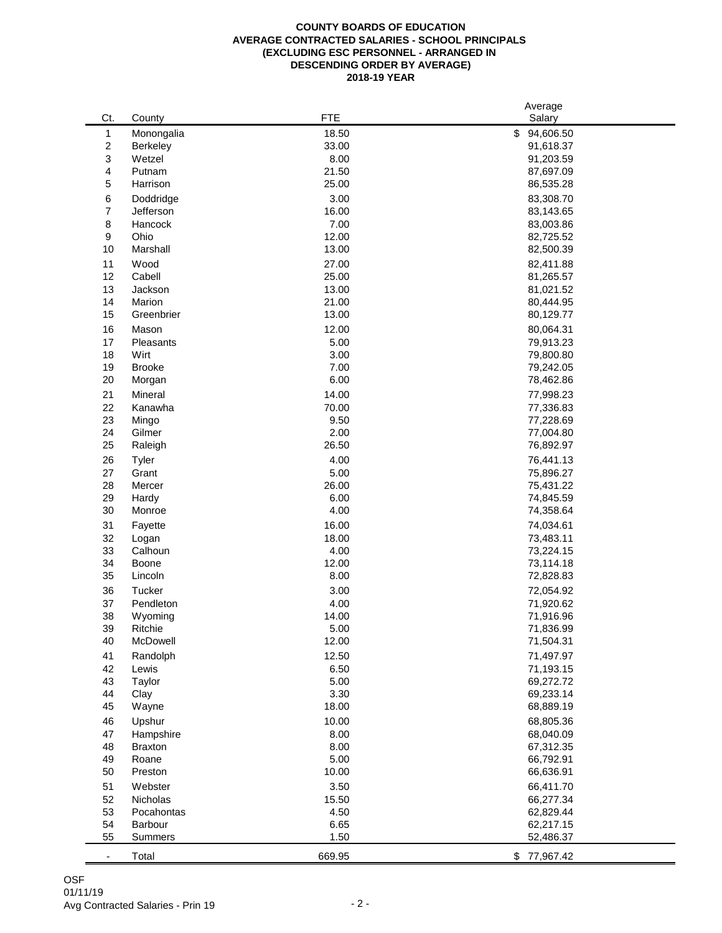## **2018-19 YEAR COUNTY BOARDS OF EDUCATION AVERAGE CONTRACTED SALARIES - SCHOOL PRINCIPALS (EXCLUDING ESC PERSONNEL - ARRANGED IN DESCENDING ORDER BY AVERAGE)**

|        |                |              | Average     |
|--------|----------------|--------------|-------------|
| Ct.    | County         | <b>FTE</b>   | Salary      |
| 1      | Monongalia     | 18.50        | \$94,606.50 |
| 2      | Berkeley       | 33.00        | 91,618.37   |
| 3      | Wetzel         | 8.00         | 91,203.59   |
| 4      | Putnam         | 21.50        | 87,697.09   |
| 5      | Harrison       | 25.00        | 86,535.28   |
| 6      | Doddridge      | 3.00         | 83,308.70   |
| 7      | Jefferson      | 16.00        | 83,143.65   |
| 8      | Hancock        | 7.00         | 83,003.86   |
| 9      | Ohio           | 12.00        | 82,725.52   |
| 10     | Marshall       | 13.00        | 82,500.39   |
|        |                |              |             |
| 11     | Wood           | 27.00        | 82,411.88   |
| 12     | Cabell         | 25.00        | 81,265.57   |
| 13     | Jackson        | 13.00        | 81,021.52   |
| 14     | Marion         | 21.00        | 80,444.95   |
| 15     | Greenbrier     | 13.00        | 80,129.77   |
| 16     | Mason          | 12.00        | 80,064.31   |
| 17     | Pleasants      | 5.00         | 79,913.23   |
| 18     | Wirt           | 3.00         | 79,800.80   |
| 19     | <b>Brooke</b>  | 7.00         | 79,242.05   |
| 20     | Morgan         | 6.00         | 78,462.86   |
| 21     | Mineral        | 14.00        | 77,998.23   |
| 22     | Kanawha        | 70.00        | 77,336.83   |
| 23     | Mingo          | 9.50         | 77,228.69   |
| 24     | Gilmer         | 2.00         | 77,004.80   |
| 25     | Raleigh        | 26.50        | 76,892.97   |
| 26     | Tyler          | 4.00         | 76,441.13   |
| 27     | Grant          | 5.00         | 75,896.27   |
| 28     | Mercer         | 26.00        |             |
|        |                |              | 75,431.22   |
| 29     | Hardy          | 6.00<br>4.00 | 74,845.59   |
| $30\,$ | Monroe         |              | 74,358.64   |
| 31     | Fayette        | 16.00        | 74,034.61   |
| 32     | Logan          | 18.00        | 73,483.11   |
| 33     | Calhoun        | 4.00         | 73,224.15   |
| 34     | Boone          | 12.00        | 73,114.18   |
| 35     | Lincoln        | 8.00         | 72,828.83   |
| 36     | Tucker         | 3.00         | 72,054.92   |
| 37     | Pendleton      | 4.00         | 71,920.62   |
| 38     | Wyoming        | 14.00        | 71,916.96   |
| 39     | Ritchie        | 5.00         | 71,836.99   |
| 40     | McDowell       | 12.00        | 71,504.31   |
| 41     | Randolph       | 12.50        | 71,497.97   |
| 42     | Lewis          | 6.50         | 71,193.15   |
| 43     | Taylor         | 5.00         | 69,272.72   |
| 44     | Clay           | 3.30         | 69,233.14   |
| 45     | Wayne          | 18.00        | 68,889.19   |
| 46     | Upshur         | 10.00        | 68,805.36   |
|        |                | 8.00         |             |
| 47     | Hampshire      |              | 68,040.09   |
| 48     | <b>Braxton</b> | 8.00         | 67,312.35   |
| 49     | Roane          | 5.00         | 66,792.91   |
| 50     | Preston        | 10.00        | 66,636.91   |
| 51     | Webster        | 3.50         | 66,411.70   |
| 52     | Nicholas       | 15.50        | 66,277.34   |
| 53     | Pocahontas     | 4.50         | 62,829.44   |
| 54     | Barbour        | 6.65         | 62,217.15   |
| 55     | Summers        | 1.50         | 52,486.37   |
| ٠      | Total          | 669.95       | \$77,967.42 |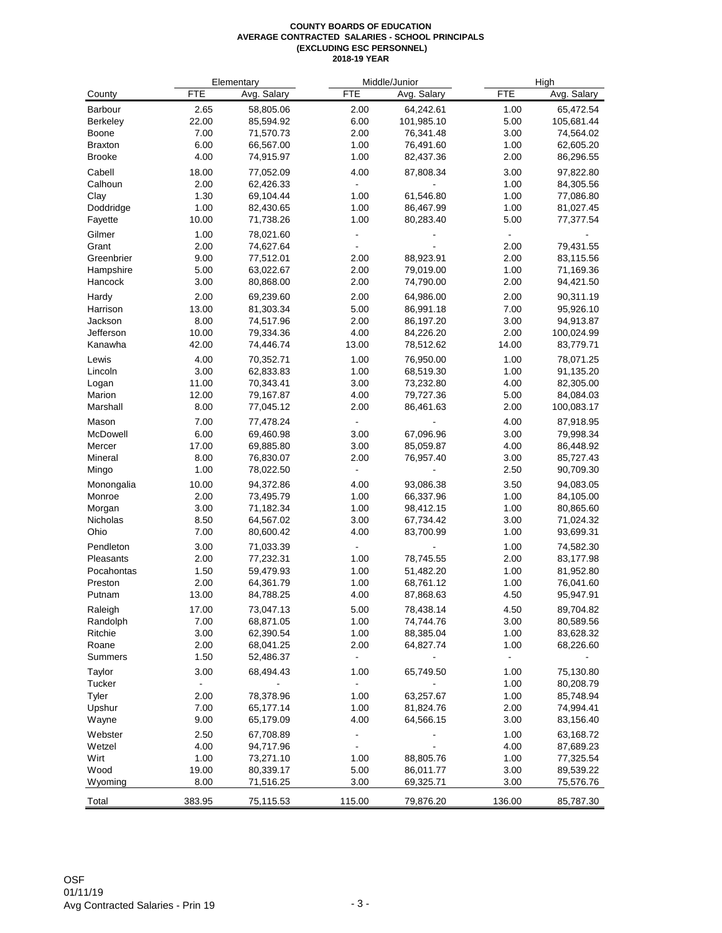## **COUNTY BOARDS OF EDUCATION AVERAGE CONTRACTED SALARIES - SCHOOL PRINCIPALS (EXCLUDING ESC PERSONNEL) 2018-19 YEAR**

|                 |            | Elementary     |                          | Middle/Junior | High           |                        |
|-----------------|------------|----------------|--------------------------|---------------|----------------|------------------------|
| County          | <b>FTE</b> | Avg. Salary    | <b>FTE</b>               | Avg. Salary   | <b>FTE</b>     | Avg. Salary            |
| <b>Barbour</b>  | 2.65       | 58,805.06      | 2.00                     | 64,242.61     | 1.00           | 65,472.54              |
| <b>Berkeley</b> | 22.00      | 85,594.92      | 6.00                     | 101,985.10    | 5.00           | 105,681.44             |
| Boone           | 7.00       | 71,570.73      | 2.00                     | 76,341.48     | 3.00           | 74,564.02              |
| <b>Braxton</b>  | 6.00       | 66,567.00      | 1.00                     | 76,491.60     | 1.00           | 62,605.20              |
| <b>Brooke</b>   | 4.00       | 74,915.97      | 1.00                     | 82,437.36     | 2.00           | 86,296.55              |
|                 |            |                |                          |               |                |                        |
| Cabell          | 18.00      | 77,052.09      | 4.00                     | 87,808.34     | 3.00           | 97,822.80              |
| Calhoun         | 2.00       | 62,426.33      |                          |               | 1.00           | 84,305.56              |
| Clay            | 1.30       | 69,104.44      | 1.00                     | 61,546.80     | 1.00           | 77,086.80              |
| Doddridge       | 1.00       | 82,430.65      | 1.00                     | 86,467.99     | 1.00           | 81,027.45              |
| Fayette         | 10.00      | 71,738.26      | 1.00                     | 80,283.40     | 5.00           | 77,377.54              |
| Gilmer          | 1.00       | 78,021.60      | $\overline{\phantom{a}}$ |               | $\blacksquare$ |                        |
| Grant           | 2.00       | 74,627.64      | $\overline{a}$           |               | 2.00           | 79,431.55              |
| Greenbrier      | 9.00       | 77,512.01      | 2.00                     | 88,923.91     | 2.00           | 83,115.56              |
| Hampshire       | 5.00       | 63,022.67      | 2.00                     | 79,019.00     | 1.00           | 71,169.36              |
| Hancock         | 3.00       | 80,868.00      | 2.00                     | 74,790.00     | 2.00           | 94,421.50              |
| Hardy           | 2.00       | 69,239.60      | 2.00                     | 64,986.00     | 2.00           | 90,311.19              |
| Harrison        | 13.00      | 81,303.34      | 5.00                     | 86,991.18     | 7.00           | 95,926.10              |
| Jackson         | 8.00       | 74,517.96      | 2.00                     | 86,197.20     | 3.00           | 94,913.87              |
| Jefferson       | 10.00      | 79,334.36      | 4.00                     | 84,226.20     | 2.00           | 100,024.99             |
| Kanawha         | 42.00      | 74,446.74      | 13.00                    | 78,512.62     | 14.00          | 83,779.71              |
| Lewis           | 4.00       | 70,352.71      | 1.00                     | 76,950.00     | 1.00           |                        |
| Lincoln         | 3.00       | 62,833.83      | 1.00                     | 68,519.30     | 1.00           | 78,071.25<br>91,135.20 |
|                 | 11.00      | 70,343.41      | 3.00                     | 73,232.80     | 4.00           | 82,305.00              |
| Logan<br>Marion | 12.00      |                | 4.00                     | 79,727.36     |                |                        |
|                 |            | 79,167.87      |                          |               | 5.00           | 84,084.03              |
| Marshall        | 8.00       | 77,045.12      | 2.00                     | 86,461.63     | 2.00           | 100,083.17             |
| Mason           | 7.00       | 77,478.24      | $\blacksquare$           |               | 4.00           | 87,918.95              |
| McDowell        | 6.00       | 69,460.98      | 3.00                     | 67,096.96     | 3.00           | 79,998.34              |
| Mercer          | 17.00      | 69,885.80      | 3.00                     | 85,059.87     | 4.00           | 86,448.92              |
| Mineral         | 8.00       | 76,830.07      | 2.00                     | 76,957.40     | 3.00           | 85,727.43              |
| Mingo           | 1.00       | 78,022.50      | $\overline{a}$           |               | 2.50           | 90,709.30              |
| Monongalia      | 10.00      | 94,372.86      | 4.00                     | 93,086.38     | 3.50           | 94,083.05              |
| Monroe          | 2.00       | 73,495.79      | 1.00                     | 66,337.96     | 1.00           | 84,105.00              |
| Morgan          | 3.00       | 71,182.34      | 1.00                     | 98,412.15     | 1.00           | 80,865.60              |
| Nicholas        | 8.50       | 64,567.02      | 3.00                     | 67,734.42     | 3.00           | 71,024.32              |
| Ohio            | 7.00       | 80,600.42      | 4.00                     | 83,700.99     | 1.00           | 93,699.31              |
| Pendleton       | 3.00       | 71,033.39      | $\blacksquare$           |               | 1.00           | 74,582.30              |
| Pleasants       | 2.00       | 77,232.31      | 1.00                     | 78,745.55     | 2.00           | 83,177.98              |
| Pocahontas      | 1.50       | 59,479.93      | 1.00                     | 51,482.20     | 1.00           | 81,952.80              |
| Preston         | 2.00       | 64,361.79      | 1.00                     | 68,761.12     | 1.00           | 76,041.60              |
| Putnam          | 13.00      | 84,788.25      | 4.00                     | 87,868.63     | 4.50           | 95,947.91              |
|                 |            |                |                          |               |                |                        |
| Raleigh         | 17.00      | 73,047.13      | 5.00                     | 78,438.14     | 4.50           | 89,704.82              |
| Randolph        | 7.00       | 68,871.05      | 1.00                     | 74,744.76     | 3.00           | 80,589.56              |
| Ritchie         | 3.00       | 62,390.54      | 1.00                     | 88,385.04     | 1.00           | 83,628.32              |
| Roane           | 2.00       | 68,041.25      | 2.00                     | 64,827.74     | 1.00           | 68,226.60              |
| Summers         | 1.50       | 52,486.37      | $\overline{\phantom{a}}$ |               |                |                        |
| Taylor          | 3.00       | 68,494.43      | 1.00                     | 65,749.50     | 1.00           | 75,130.80              |
| Tucker          |            | $\blacksquare$ | $\blacksquare$           |               | 1.00           | 80,208.79              |
| Tyler           | 2.00       | 78,378.96      | 1.00                     | 63,257.67     | 1.00           | 85,748.94              |
| Upshur          | 7.00       | 65,177.14      | 1.00                     | 81,824.76     | 2.00           | 74,994.41              |
| Wayne           | 9.00       | 65,179.09      | 4.00                     | 64,566.15     | 3.00           | 83,156.40              |
| Webster         | 2.50       | 67,708.89      | $\blacksquare$           |               | 1.00           | 63,168.72              |
| Wetzel          | 4.00       | 94,717.96      | $\overline{a}$           |               | 4.00           | 87,689.23              |
| Wirt            | 1.00       | 73,271.10      | 1.00                     | 88,805.76     | 1.00           | 77,325.54              |
| Wood            | 19.00      | 80,339.17      | 5.00                     | 86,011.77     | 3.00           | 89,539.22              |
|                 |            |                |                          |               |                |                        |
| Wyoming         | 8.00       | 71,516.25      | 3.00                     | 69,325.71     | 3.00           | 75,576.76              |
| Total           | 383.95     | 75,115.53      | 115.00                   | 79,876.20     | 136.00         | 85,787.30              |